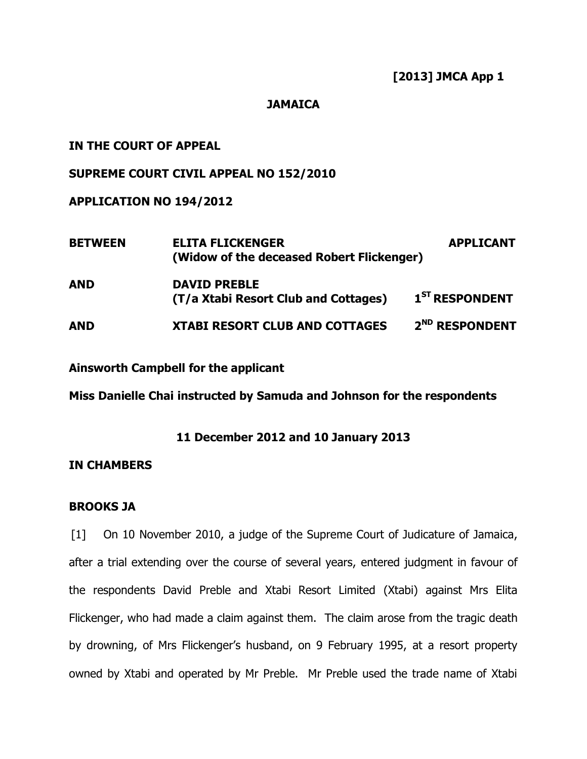### **JAMAICA**

# **IN THE COURT OF APPEAL**

# **SUPREME COURT CIVIL APPEAL NO 152/2010**

## **APPLICATION NO 194/2012**

| <b>BETWEEN</b> | <b>ELITA FLICKENGER</b><br>(Widow of the deceased Robert Flickenger) | <b>APPLICANT</b>           |
|----------------|----------------------------------------------------------------------|----------------------------|
| <b>AND</b>     | <b>DAVID PREBLE</b><br>(T/a Xtabi Resort Club and Cottages)          | $1ST$ RESPONDENT           |
| <b>AND</b>     | <b>XTABI RESORT CLUB AND COTTAGES</b>                                | 2 <sup>ND</sup> RESPONDENT |

## **Ainsworth Campbell for the applicant**

**Miss Danielle Chai instructed by Samuda and Johnson for the respondents**

## **11 December 2012 and 10 January 2013**

# **IN CHAMBERS**

## **BROOKS JA**

[1] On 10 November 2010, a judge of the Supreme Court of Judicature of Jamaica, after a trial extending over the course of several years, entered judgment in favour of the respondents David Preble and Xtabi Resort Limited (Xtabi) against Mrs Elita Flickenger, who had made a claim against them. The claim arose from the tragic death by drowning, of Mrs Flickenger's husband, on 9 February 1995, at a resort property owned by Xtabi and operated by Mr Preble. Mr Preble used the trade name of Xtabi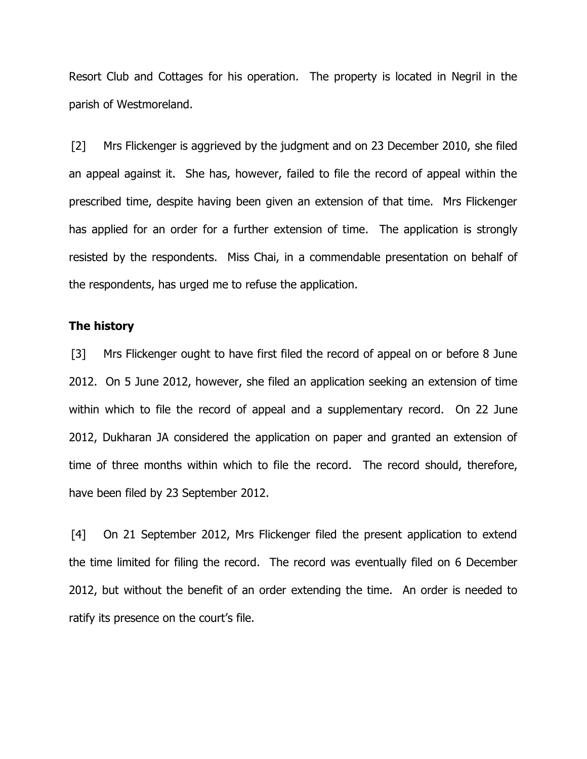Resort Club and Cottages for his operation. The property is located in Negril in the parish of Westmoreland.

[2] Mrs Flickenger is aggrieved by the judgment and on 23 December 2010, she filed an appeal against it. She has, however, failed to file the record of appeal within the prescribed time, despite having been given an extension of that time. Mrs Flickenger has applied for an order for a further extension of time. The application is strongly resisted by the respondents. Miss Chai, in a commendable presentation on behalf of the respondents, has urged me to refuse the application.

#### **The history**

[3] Mrs Flickenger ought to have first filed the record of appeal on or before 8 June 2012. On 5 June 2012, however, she filed an application seeking an extension of time within which to file the record of appeal and a supplementary record. On 22 June 2012, Dukharan JA considered the application on paper and granted an extension of time of three months within which to file the record. The record should, therefore, have been filed by 23 September 2012.

[4] On 21 September 2012, Mrs Flickenger filed the present application to extend the time limited for filing the record. The record was eventually filed on 6 December 2012, but without the benefit of an order extending the time. An order is needed to ratify its presence on the court's file.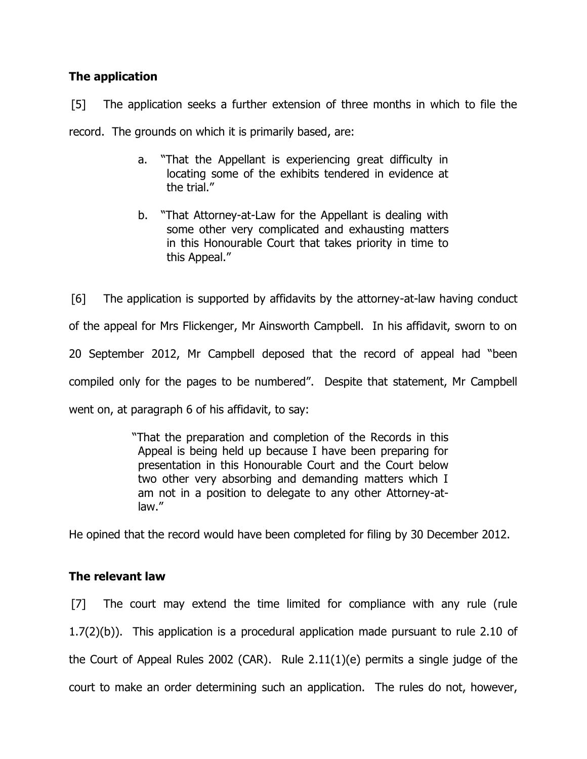# **The application**

[5] The application seeks a further extension of three months in which to file the record. The grounds on which it is primarily based, are:

- a. "That the Appellant is experiencing great difficulty in locating some of the exhibits tendered in evidence at the trial."
- b. "That Attorney-at-Law for the Appellant is dealing with some other very complicated and exhausting matters in this Honourable Court that takes priority in time to this Appeal."

[6] The application is supported by affidavits by the attorney-at-law having conduct of the appeal for Mrs Flickenger, Mr Ainsworth Campbell. In his affidavit, sworn to on 20 September 2012, Mr Campbell deposed that the record of appeal had "been compiled only for the pages to be numbered". Despite that statement, Mr Campbell went on, at paragraph 6 of his affidavit, to say:

> "That the preparation and completion of the Records in this Appeal is being held up because I have been preparing for presentation in this Honourable Court and the Court below two other very absorbing and demanding matters which I am not in a position to delegate to any other Attorney-atlaw."

He opined that the record would have been completed for filing by 30 December 2012.

# **The relevant law**

[7] The court may extend the time limited for compliance with any rule (rule 1.7(2)(b)). This application is a procedural application made pursuant to rule 2.10 of the Court of Appeal Rules 2002 (CAR). Rule 2.11(1)(e) permits a single judge of the court to make an order determining such an application. The rules do not, however,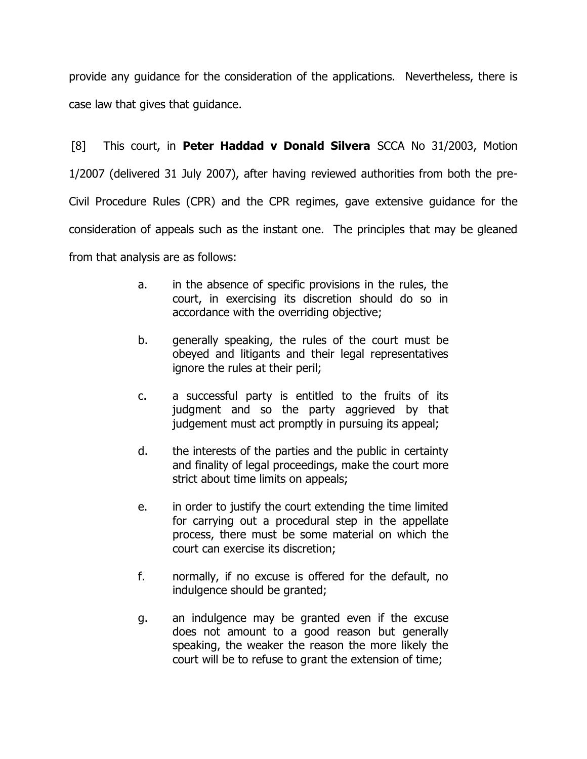provide any guidance for the consideration of the applications. Nevertheless, there is case law that gives that guidance.

[8] This court, in **Peter Haddad v Donald Silvera** SCCA No 31/2003, Motion 1/2007 (delivered 31 July 2007), after having reviewed authorities from both the pre-Civil Procedure Rules (CPR) and the CPR regimes, gave extensive guidance for the consideration of appeals such as the instant one. The principles that may be gleaned from that analysis are as follows:

- a. in the absence of specific provisions in the rules, the court, in exercising its discretion should do so in accordance with the overriding objective;
- b. generally speaking, the rules of the court must be obeyed and litigants and their legal representatives ignore the rules at their peril;
- c. a successful party is entitled to the fruits of its judgment and so the party aggrieved by that judgement must act promptly in pursuing its appeal;
- d. the interests of the parties and the public in certainty and finality of legal proceedings, make the court more strict about time limits on appeals;
- e. in order to justify the court extending the time limited for carrying out a procedural step in the appellate process, there must be some material on which the court can exercise its discretion;
- f. normally, if no excuse is offered for the default, no indulgence should be granted;
- g. an indulgence may be granted even if the excuse does not amount to a good reason but generally speaking, the weaker the reason the more likely the court will be to refuse to grant the extension of time;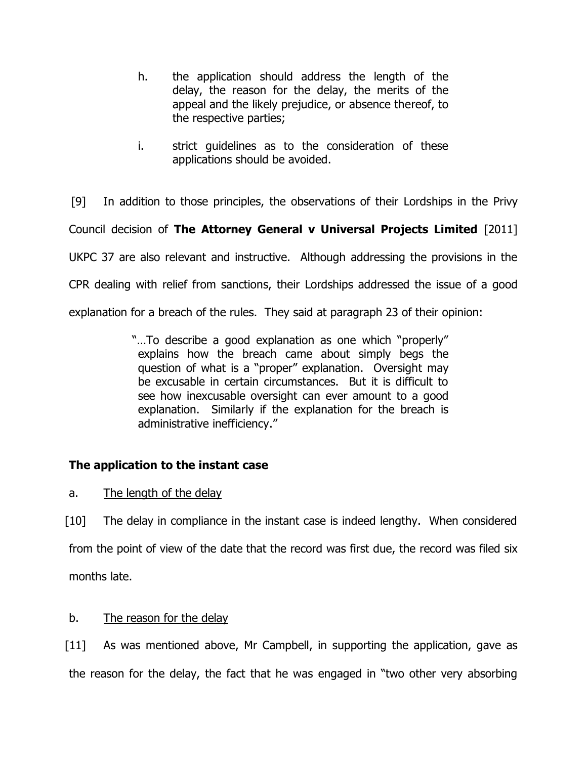- h. the application should address the length of the delay, the reason for the delay, the merits of the appeal and the likely prejudice, or absence thereof, to the respective parties;
- i. strict guidelines as to the consideration of these applications should be avoided.

[9] In addition to those principles, the observations of their Lordships in the Privy Council decision of **The Attorney General v Universal Projects Limited** [2011] UKPC 37 are also relevant and instructive. Although addressing the provisions in the CPR dealing with relief from sanctions, their Lordships addressed the issue of a good explanation for a breach of the rules. They said at paragraph 23 of their opinion:

> "…To describe a good explanation as one which "properly" explains how the breach came about simply begs the question of what is a "proper" explanation. Oversight may be excusable in certain circumstances. But it is difficult to see how inexcusable oversight can ever amount to a good explanation. Similarly if the explanation for the breach is administrative inefficiency."

# **The application to the instant case**

a. The length of the delay

[10] The delay in compliance in the instant case is indeed lengthy. When considered from the point of view of the date that the record was first due, the record was filed six months late.

b. The reason for the delay

[11] As was mentioned above, Mr Campbell, in supporting the application, gave as the reason for the delay, the fact that he was engaged in "two other very absorbing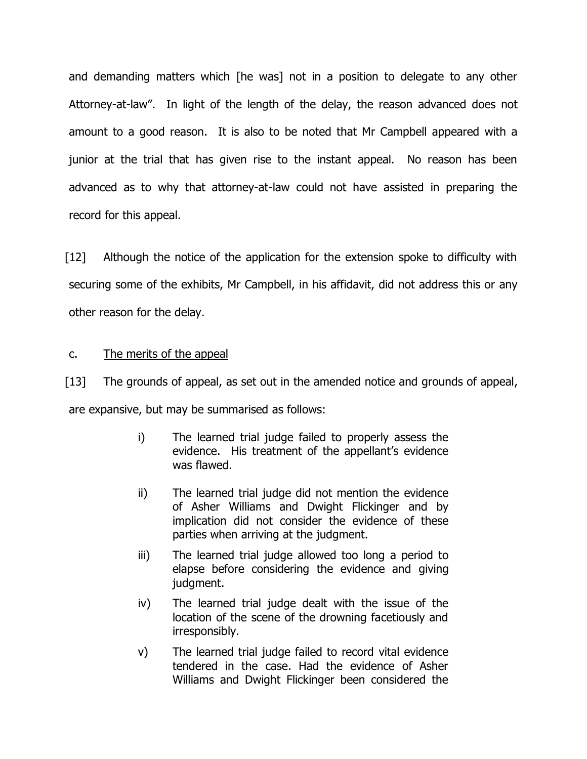and demanding matters which [he was] not in a position to delegate to any other Attorney-at-law". In light of the length of the delay, the reason advanced does not amount to a good reason. It is also to be noted that Mr Campbell appeared with a junior at the trial that has given rise to the instant appeal. No reason has been advanced as to why that attorney-at-law could not have assisted in preparing the record for this appeal.

[12] Although the notice of the application for the extension spoke to difficulty with securing some of the exhibits, Mr Campbell, in his affidavit, did not address this or any other reason for the delay.

## c. The merits of the appeal

[13] The grounds of appeal, as set out in the amended notice and grounds of appeal, are expansive, but may be summarised as follows:

- i) The learned trial judge failed to properly assess the evidence. His treatment of the appellant's evidence was flawed.
- ii) The learned trial judge did not mention the evidence of Asher Williams and Dwight Flickinger and by implication did not consider the evidence of these parties when arriving at the judgment.
- iii) The learned trial judge allowed too long a period to elapse before considering the evidence and giving judgment.
- iv) The learned trial judge dealt with the issue of the location of the scene of the drowning facetiously and irresponsibly.
- v) The learned trial judge failed to record vital evidence tendered in the case. Had the evidence of Asher Williams and Dwight Flickinger been considered the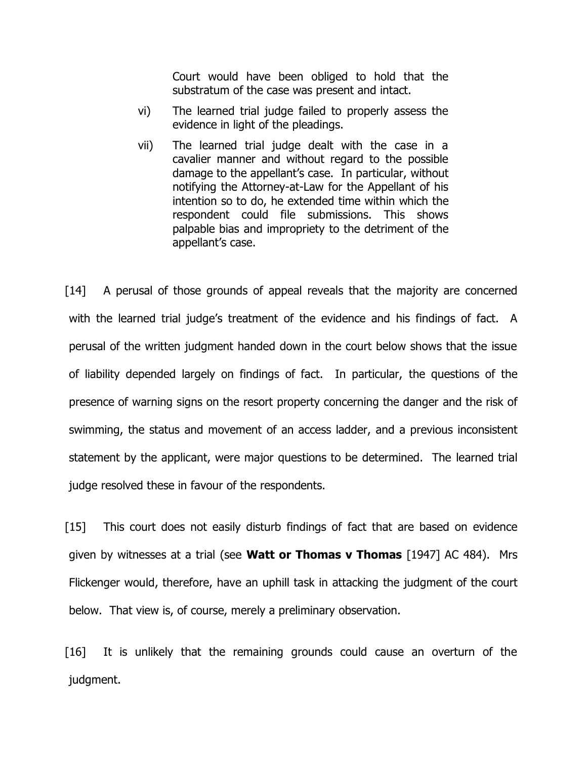Court would have been obliged to hold that the substratum of the case was present and intact.

- vi) The learned trial judge failed to properly assess the evidence in light of the pleadings.
- vii) The learned trial judge dealt with the case in a cavalier manner and without regard to the possible damage to the appellant's case. In particular, without notifying the Attorney-at-Law for the Appellant of his intention so to do, he extended time within which the respondent could file submissions. This shows palpable bias and impropriety to the detriment of the appellant's case.

[14] A perusal of those grounds of appeal reveals that the majority are concerned with the learned trial judge's treatment of the evidence and his findings of fact. A perusal of the written judgment handed down in the court below shows that the issue of liability depended largely on findings of fact. In particular, the questions of the presence of warning signs on the resort property concerning the danger and the risk of swimming, the status and movement of an access ladder, and a previous inconsistent statement by the applicant, were major questions to be determined. The learned trial judge resolved these in favour of the respondents.

[15] This court does not easily disturb findings of fact that are based on evidence given by witnesses at a trial (see **Watt or Thomas v Thomas** [1947] AC 484). Mrs Flickenger would, therefore, have an uphill task in attacking the judgment of the court below. That view is, of course, merely a preliminary observation.

[16] It is unlikely that the remaining grounds could cause an overturn of the judgment.